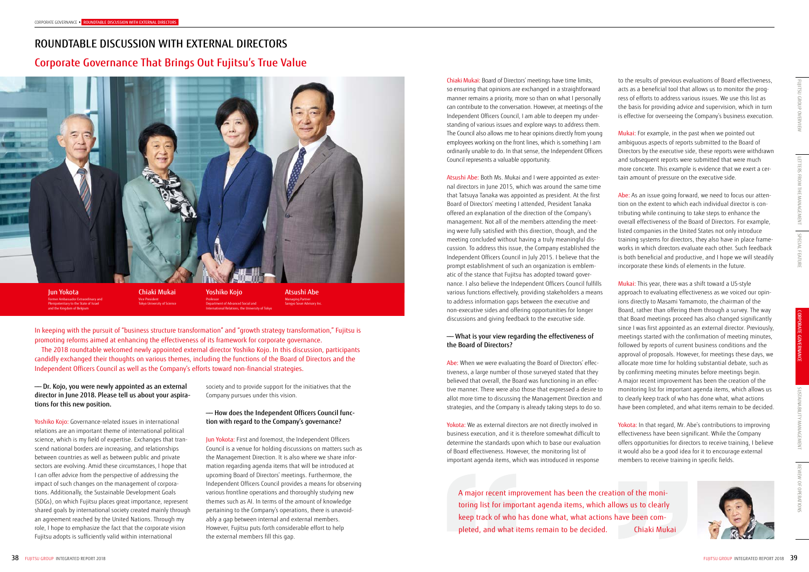In keeping with the pursuit of "business structure transformation" and "growth strategy transformation," Fujitsu is promoting reforms aimed at enhancing the effectiveness of its framework for corporate governance.

The 2018 roundtable welcomed newly appointed external director Yoshiko Kojo. In this discussion, participants candidly exchanged their thoughts on various themes, including the functions of the Board of Directors and the Independent Officers Council as well as the Company's efforts toward non-financial strategies.

> society and to provide support for the initiatives that the Company pursues under this vision.

# —— How does the Independent Officers Council function with regard to the Company's governance?

Jun Yokota: First and foremost, the Independent Officers Council is a venue for holding discussions on matters such as the Management Direction. It is also where we share information regarding agenda items that will be introduced at upcoming Board of Directors' meetings. Furthermore, the Independent Officers Council provides a means for observing various frontline operations and thoroughly studying new themes such as AI. In terms of the amount of knowledge pertaining to the Company's operations, there is unavoidably a gap between internal and external members. However, Fujitsu puts forth considerable effort to help the external members fill this gap.

# —— Dr. Kojo, you were newly appointed as an external director in June 2018. Please tell us about your aspirations for this new position.

Yoshiko Kojo: Governance-related issues in international relations are an important theme of international political science, which is my field of expertise. Exchanges that transcend national borders are increasing, and relationships between countries as well as between public and private sectors are evolving. Amid these circumstances, I hope that I can offer advice from the perspective of addressing the impact of such changes on the management of corporations. Additionally, the Sustainable Development Goals (SDGs), on which Fujitsu places great importance, represent shared goals by international society created mainly through an agreement reached by the United Nations. Through my role, I hope to emphasize the fact that the corporate vision Fujitsu adopts is sufficiently valid within international

Jun Yokota Former Ambassador Extraordinary and Plenipotentiary to the State of Israel and the Kingdom of Belgium

Chiaki Mukai Vice President Tokyo University of Science Yoshiko Kojo Professor Department of Advanced Social and International Relations, the University of Tokyo

Atsushi Abe Managing Partner Sangyo Sosei Advisory Inc.

# ROUNDTABLE DISCUSSION WITH EXTERNAL DIRECTORS Corporate Governance That Brings Out Fujitsu's True Value



A major recent improvement has been the creation of the monitoring list for important agenda items, which allows us to clearly keep track of who has done what, what actions have been completed, and what items remain to be decided. Chiaki Mukai

to the results of previous evaluations of Board effectiveness, acts as a beneficial tool that allows us to monitor the progress of efforts to address various issues. We use this list as the basis for providing advice and supervision, which in turn is effective for overseeing the Company's business execution.

Mukai: For example, in the past when we pointed out ambiguous aspects of reports submitted to the Board of Directors by the executive side, these reports were withdrawn and subsequent reports were submitted that were much more concrete. This example is evidence that we exert a certain amount of pressure on the executive side.

Yokota: We as external directors are not directly involved in business execution, and it is therefore somewhat difficult to determine the standards upon which to base our evaluation of Board effectiveness. However, the monitoring list of important agenda items, which was introduced in response

Abe: As an issue going forward, we need to focus our attention on the extent to which each individual director is contributing while continuing to take steps to enhance the overall effectiveness of the Board of Directors. For example, listed companies in the United States not only introduce training systems for directors, they also have in place frameworks in which directors evaluate each other. Such feedback is both beneficial and productive, and I hope we will steadily incorporate these kinds of elements in the future.

REVIEW OF OPERATIONS

Mukai: This year, there was a shift toward a US-style approach to evaluating effectiveness as we voiced our opinions directly to Masami Yamamoto, the chairman of the Board, rather than offering them through a survey. The way that Board meetings proceed has also changed significantly since I was first appointed as an external director. Previously, meetings started with the confirmation of meeting minutes, followed by reports of current business conditions and the approval of proposals. However, for meetings these days, we allocate more time for holding substantial debate, such as by confirming meeting minutes before meetings begin. A major recent improvement has been the creation of the monitoring list for important agenda items, which allows us to clearly keep track of who has done what, what actions have been completed, and what items remain to be decided.

Yokota: In that regard, Mr. Abe's contributions to improving effectiveness have been significant. While the Company offers opportunities for directors to receive training, I believe it would also be a good idea for it to encourage external members to receive training in specific fields.



Chiaki Mukai: Board of Directors' meetings have time limits, so ensuring that opinions are exchanged in a straightforward manner remains a priority, more so than on what I personally can contribute to the conversation. However, at meetings of the Independent Officers Council, I am able to deepen my understanding of various issues and explore ways to address them. The Council also allows me to hear opinions directly from young employees working on the front lines, which is something I am ordinarily unable to do. In that sense, the Independent Officers Council represents a valuable opportunity.

Atsushi Abe: Both Ms. Mukai and I were appointed as external directors in June 2015, which was around the same time that Tatsuya Tanaka was appointed as president. At the first Board of Directors' meeting I attended, President Tanaka offered an explanation of the direction of the Company's management. Not all of the members attending the meeting were fully satisfied with this direction, though, and the meeting concluded without having a truly meaningful discussion. To address this issue, the Company established the Independent Officers Council in July 2015. I believe that the prompt establishment of such an organization is emblematic of the stance that Fujitsu has adopted toward governance. I also believe the Independent Officers Council fulfills various functions effectively, providing stakeholders a means to address information gaps between the executive and non-executive sides and offering opportunities for longer discussions and giving feedback to the executive side.

# —— What is your view regarding the effectiveness of the Board of Directors?

Abe: When we were evaluating the Board of Directors' effectiveness, a large number of those surveyed stated that they believed that overall, the Board was functioning in an effective manner. There were also those that expressed a desire to allot more time to discussing the Management Direction and strategies, and the Company is already taking steps to do so.